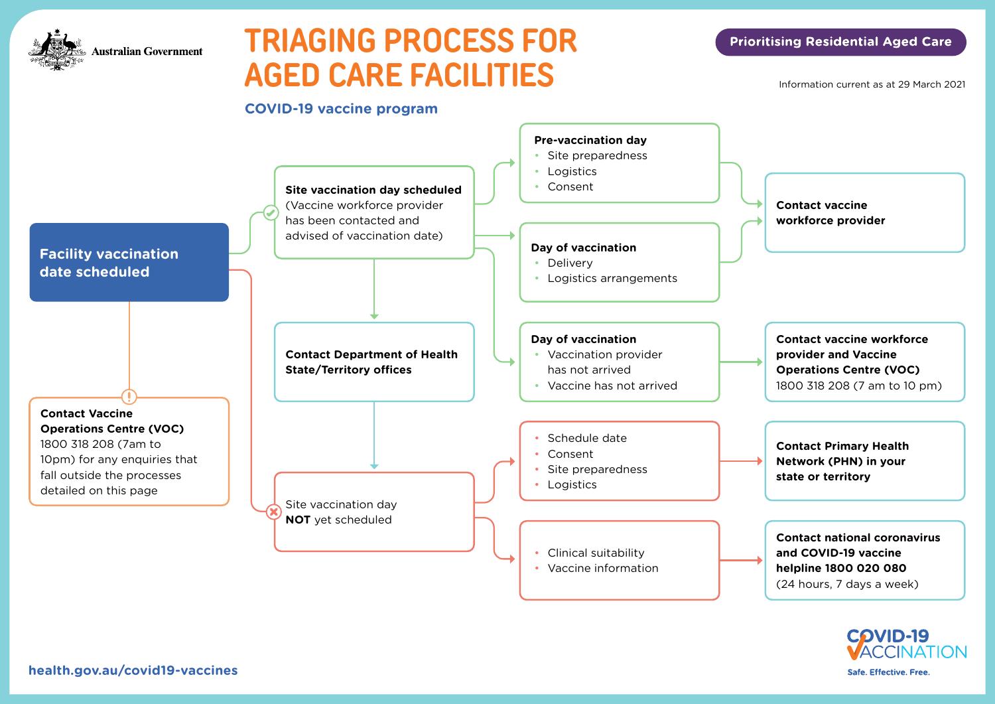

## **TRIAGING PROCESS FOR AGED CARE FACILITIES**

#### **Prioritising Residential Aged Care**

Information current as at 29 March 2021





**[health.gov.au/covid19-vaccines](https://health.gov.au/covid19-vaccines)**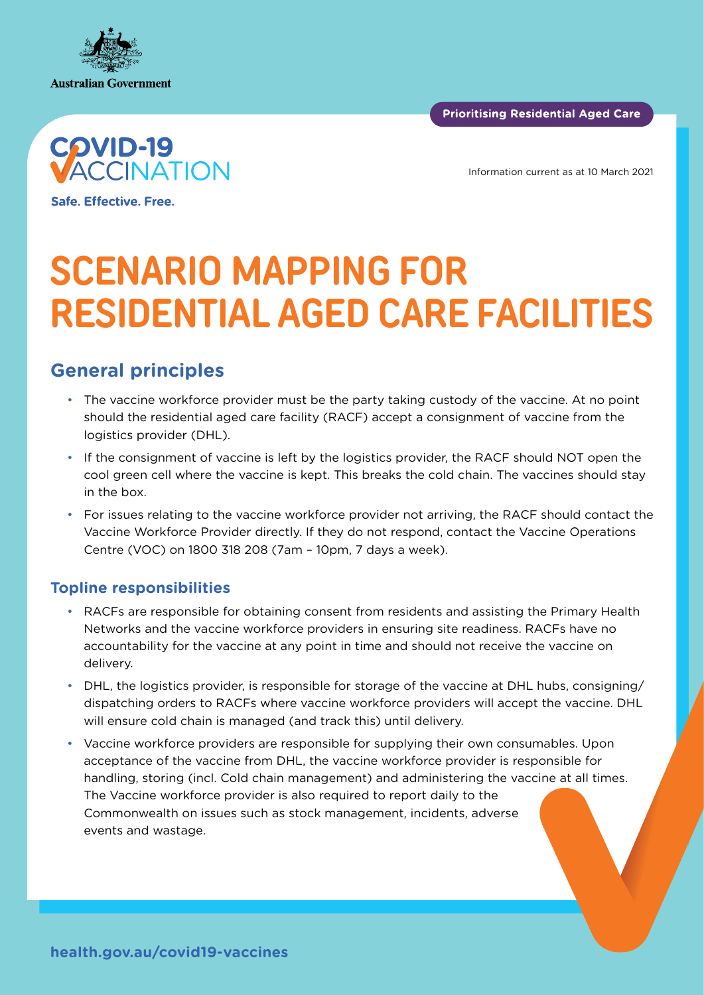





Information current as at 10 March 2021

Safe. Effective. Free.

# **SCENARIO MAPPING FOR RESIDENTIAL AGED CARE FACILITIES**

### **General principles**

- The vaccine workforce provider must be the party taking custody of the vaccine. At no point should the residential aged care facility (RACF) accept a consignment of vaccine from the logistics provider (DHL).
- If the consignment of vaccine is left by the logistics provider, the RACF should NOT open the cool green cell where the vaccine is kept. This breaks the cold chain. The vaccines should stay in the box.
- For issues relating to the vaccine workforce provider not arriving, the RACF should contact the Vaccine Workforce Provider directly. If they do not respond, contact the Vaccine Operations Centre (VOC) on 1800 318 208 (7am – 10pm, 7 days a week).

#### **Topline responsibilities**

- RACFs are responsible for obtaining consent from residents and assisting the Primary Health Networks and the vaccine workforce providers in ensuring site readiness. RACFs have no accountability for the vaccine at any point in time and should not receive the vaccine on delivery.
- DHL, the logistics provider, is responsible for storage of the vaccine at DHL hubs, consigning/ dispatching orders to RACFs where vaccine workforce providers will accept the vaccine. DHL will ensure cold chain is managed (and track this) until delivery.
- Vaccine workforce providers are responsible for supplying their own consumables. Upon acceptance of the vaccine from DHL, the vaccine workforce provider is responsible for handling, storing (incl. Cold chain management) and administering the vaccine at all times. The Vaccine workforce provider is also required to report daily to the Commonwealth on issues such as stock management, incidents, adverse events and wastage.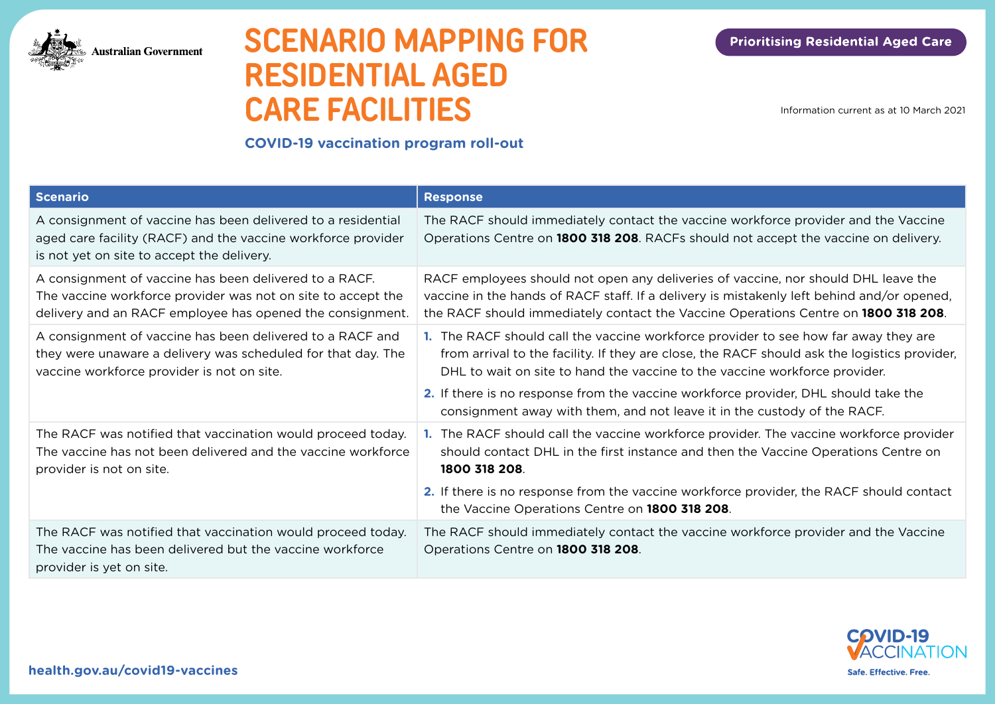

### **SCENARIO MAPPING FOR RESIDENTIAL AGED CARE FACILITIES**

Information current as at 10 March 2021

#### **COVID-19 vaccination program roll-out**

| <b>Scenario</b>                                                                                                                                                                     | <b>Response</b>                                                                                                                                                                                                                                                        |
|-------------------------------------------------------------------------------------------------------------------------------------------------------------------------------------|------------------------------------------------------------------------------------------------------------------------------------------------------------------------------------------------------------------------------------------------------------------------|
| A consignment of vaccine has been delivered to a residential<br>aged care facility (RACF) and the vaccine workforce provider<br>is not yet on site to accept the delivery.          | The RACF should immediately contact the vaccine workforce provider and the Vaccine<br>Operations Centre on 1800 318 208. RACFs should not accept the vaccine on delivery.                                                                                              |
| A consignment of vaccine has been delivered to a RACF.<br>The vaccine workforce provider was not on site to accept the<br>delivery and an RACF employee has opened the consignment. | RACF employees should not open any deliveries of vaccine, nor should DHL leave the<br>vaccine in the hands of RACF staff. If a delivery is mistakenly left behind and/or opened,<br>the RACF should immediately contact the Vaccine Operations Centre on 1800 318 208. |
| A consignment of vaccine has been delivered to a RACF and<br>they were unaware a delivery was scheduled for that day. The<br>vaccine workforce provider is not on site.             | 1. The RACF should call the vaccine workforce provider to see how far away they are<br>from arrival to the facility. If they are close, the RACF should ask the logistics provider,<br>DHL to wait on site to hand the vaccine to the vaccine workforce provider.      |
|                                                                                                                                                                                     | 2. If there is no response from the vaccine workforce provider, DHL should take the<br>consignment away with them, and not leave it in the custody of the RACF.                                                                                                        |
| The RACF was notified that vaccination would proceed today.<br>The vaccine has not been delivered and the vaccine workforce<br>provider is not on site.                             | 1. The RACF should call the vaccine workforce provider. The vaccine workforce provider<br>should contact DHL in the first instance and then the Vaccine Operations Centre on<br>1800 318 208.                                                                          |
|                                                                                                                                                                                     | <b>2.</b> If there is no response from the vaccine workforce provider, the RACF should contact<br>the Vaccine Operations Centre on 1800 318 208.                                                                                                                       |
| The RACF was notified that vaccination would proceed today.<br>The vaccine has been delivered but the vaccine workforce<br>provider is yet on site.                                 | The RACF should immediately contact the vaccine workforce provider and the Vaccine<br>Operations Centre on 1800 318 208.                                                                                                                                               |